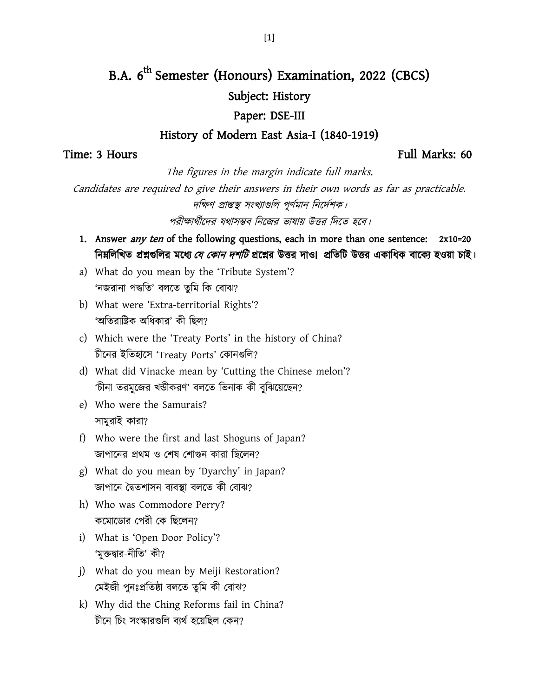# B.A. 6<sup>th</sup> Semester (Honours) Examination, 2022 (CBCS) Subject: History Paper: DSE-III

### History of Modern East Asia-I (1840-1919)

### Time: 3 Hours Full Marks: 60

The figures in the margin indicate full marks.

Candidates are required to give their answers in their own words as far as practicable. দক্ষিণ প্রান্তস্থ সংখ্যাগুলি পূর্ণমান নির্দেশক।

পরীক্ষার্থীদের যথাসম্ভব নিজের ভাষায় উত্তর দিতে হবে।

- 1. Answer *any ten* of the following questions, each in more than one sentence: 2x10=20 নিম্নলিখিত প্রশ্নগুলির মধ্যে *যে কোন দশটি* প্রশ্নের উত্তর দাও। প্রতিটি উত্তর একাধিক বাক্যে হওয়া চাই।
- a) What do you mean by the 'Tribute System'? 'নজরানা পদ্ধতি' বলতে তুমি কি বোঝ?
- b) What were 'Extra-territorial Rights'? 'অতিরাষ্ট্রিক অধিকার' কী ছিল?
- c) Which were the 'Treaty Ports' in the history of China? চীনের ইতিহাসে 'Treaty Ports' কোনগুলি?
- d) What did Vinacke mean by 'Cutting the Chinese melon'? 'চীনা তরমুজের খন্ডীকরণ' বলতে ভিনাক কী বুঝিয়েছেন?
- e) Who were the Samurais? সামুরাই কারা?
- f) Who were the first and last Shoguns of Japan? জাপানের প্রথম ও শেষ শোগুন কারা ছিলেন?
- g) What do you mean by 'Dyarchy' in Japan? জাপানে দ্বৈতশাসন ব্যবস্থা বলতে কী বোঝ?
- h) Who was Commodore Perry? কমোডোর পেরী কে ছিলেন?
- i) What is 'Open Door Policy'? 'মক্তদ্বার-নীতি' কী?
- j) What do you mean by Meiji Restoration? মেইজী পুনঃপ্রতিষ্ঠা বলতে তুমি কী বোঝ?
- k) Why did the Ching Reforms fail in China? চীনে চিং সংস্কারগুলি ব্যর্থ হয়েছিল কেন?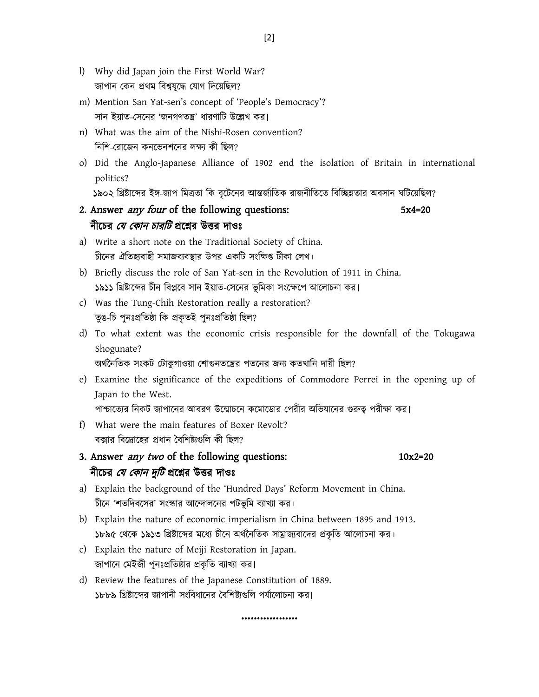- l) Why did Japan join the First World War? জাপান কেন প্রথম বিশ্বযুদ্ধে যোগ দিয়েছিল?
- m) Mention San Yat-sen's concept of 'People's Democracy'? সান ইয়াত-সেনের 'জনগণতন্ত্র' ধারণাটি উল্লেখ কর।
- n) What was the aim of the Nishi-Rosen convention? নিশি-রোজেন কনভেনশনের লক্ষ্য কী ছিল?
- o) Did the Anglo-Japanese Alliance of 1902 end the isolation of Britain in international politics?

১৯০২ খ্রিষ্টাব্দের ইঙ্গ-জাপ মিত্রতা কি বৃটেনের আন্তর্জাতিক রাজনীতিতে বিচ্ছিন্নতার অবসান ঘটিয়েছিল?

- 2. Answer *any four* of the following questions: 5x4=20 নীচের *যে কোন চারটি* প্রশ্নের উত্তর দাওঃ
- a) Write a short note on the Traditional Society of China. চীনের ঐতিহ্যবাহী সমাজব্যবস্থার উপর একটি সংক্ষিপ্ত টীকা লেখ।
- b) Briefly discuss the role of San Yat-sen in the Revolution of 1911 in China. ১৯১১ খ্রিষ্টাব্দের চীন বিপ্লবে সান ইয়াত-সেনের ভূমিকা সংক্ষেপে আলোচনা কর।
- c) Was the Tung-Chih Restoration really a restoration? তুঙ-চি পুনঃপ্রতিষ্ঠা কি প্রকৃতই পুনঃপ্রতিষ্ঠা ছিল?
- d) To what extent was the economic crisis responsible for the downfall of the Tokugawa Shogunate?

অৰ্থনৈতিক সংকট টোকুগাওয়া শোগুনতন্ত্রের পতনের জন্য কতখানি দায়ী ছিল?

e) Examine the significance of the expeditions of Commodore Perrei in the opening up of Japan to the West.

পাশ্চাত্যের নিকট জাপানের আবরণ উন্মোচনে কমোডোর পেরীর অভিযানের গুরুত্ব পরীক্ষা কর।

- f) What were the main features of Boxer Revolt? বক্সার বিদ্রোহের প্রধান বৈশিষ্ট্যগুলি কী ছিল?
- 3. Answer *any two* of the following questions: 10x2=20 নীচের *যে কোন দুটি* প্রশ্নের উত্তর দাওঃ
	-
- a) Explain the background of the 'Hundred Days' Reform Movement in China. চীনে 'শতদিবসের' সংস্কার আন্দোলনের পটভূমি ব্যাখ্যা কর।
- b) Explain the nature of economic imperialism in China between 1895 and 1913. ১৮৯৫ থেকে ১৯১৩ খ্রিষ্টাব্দের মধ্যে চীনে অর্থনৈতিক সাম্রাজ্যবাদের প্রকৃতি আলোচনা কর।
- c) Explain the nature of Meiji Restoration in Japan. জাপানে মেইজী পুনঃপ্রতিষ্ঠার প্রকৃতি ব্যাখ্যা কর।
- d) Review the features of the Japanese Constitution of 1889. ১৮৮৯ খ্রিষ্টাব্দের জাপানী সংবিধানের বৈশিষ্ট্যগুলি পর্যালোচনা কর।

…………………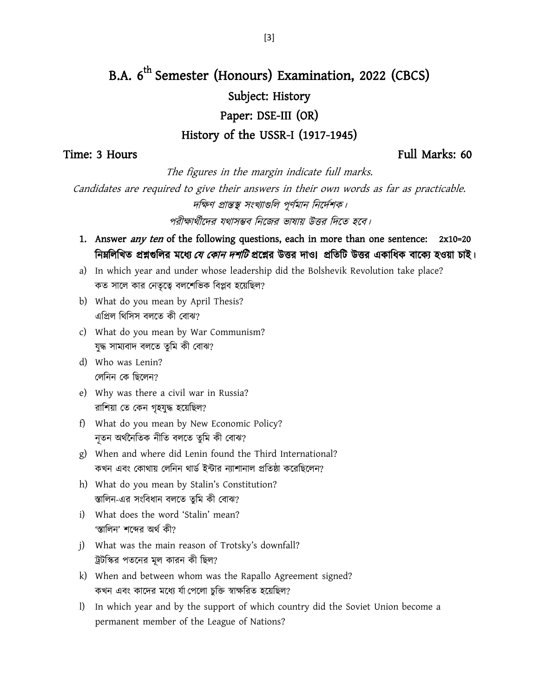# B.A. 6<sup>th</sup> Semester (Honours) Examination, 2022 (CBCS) Subject: History Paper: DSE-III (OR) History of the USSR-I (1917-1945)

## Time: 3 Hours Full Marks: 60

The figures in the margin indicate full marks.

Candidates are required to give their answers in their own words as far as practicable. দক্ষিণ প্রান্তস্থ সংখ্যাগুলি পূর্ণমান নির্দেশক।

পরীক্ষার্থীদের যথাসম্ভব নিজের ভাষায় উত্তর দিতে হবে।

- 1. Answer *any ten* of the following questions, each in more than one sentence: 2x10=20 নিম্নলিখিত প্রশ্নগুলির মধ্যে *যে কোন দশটি* প্রশ্নের উত্তর দাও। প্রতিটি উত্তর একাধিক বাক্যে হওয়া চাই।
- a) In which year and under whose leadership did the Bolshevik Revolution take place? কত সালে কার নেতৃত্বে বলশেভিক বিপ্লব হয়েছিল?
- b) What do you mean by April Thesis? এপ্রিল থিসিস বলতে কী বোঝ?
- c) What do you mean by War Communism? যুদ্ধ সাম্যবাদ বলতে তুমি কী বোঝ?
- d) Who was Lenin? লেনিন কে ছিলেন?
- e) Why was there a civil war in Russia? রাশিয়া তে কেন গৃহযুদ্ধ হয়েছিল?
- f) What do you mean by New Economic Policy? নূতন অৰ্থনৈতিক নীতি বলতে তুমি কী বোঝ?
- g) When and where did Lenin found the Third International? কখন এবং কোথায় লেনিন থার্ড ইন্টার ন্যাশানাল প্রতিষ্ঠা করেছিলেন?
- h) What do you mean by Stalin's Constitution? স্তালিন-এর সংবিধান বলতে তুমি কী বোঝ?
- i) What does the word 'Stalin' mean? 'স্তালিন' শব্দের অর্থ কী?
- j) What was the main reason of Trotsky's downfall? ট্রটস্কির পতনের মূল কারন কী ছিল?
- k) When and between whom was the Rapallo Agreement signed? কখন এবং কাদের মধ্যে র্যা পেলো চুক্তি স্বাক্ষরিত হয়েছিল?
- l) In which year and by the support of which country did the Soviet Union become a permanent member of the League of Nations?